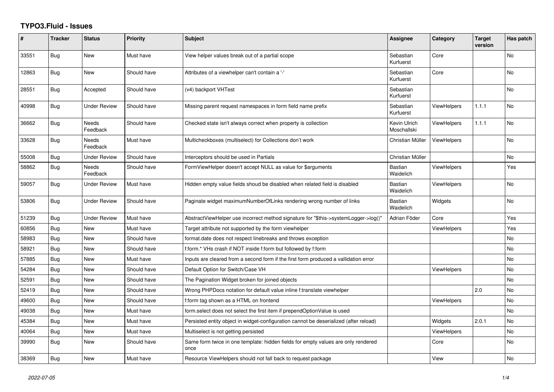## **TYPO3.Fluid - Issues**

| ∦     | <b>Tracker</b> | <b>Status</b>       | <b>Priority</b> | <b>Subject</b>                                                                            | Assignee                    | Category           | <b>Target</b><br>version | Has patch |
|-------|----------------|---------------------|-----------------|-------------------------------------------------------------------------------------------|-----------------------------|--------------------|--------------------------|-----------|
| 33551 | <b>Bug</b>     | <b>New</b>          | Must have       | View helper values break out of a partial scope                                           | Sebastian<br>Kurfuerst      | Core               |                          | <b>No</b> |
| 12863 | <b>Bug</b>     | New                 | Should have     | Attributes of a viewhelper can't contain a '-'                                            | Sebastian<br>Kurfuerst      | Core               |                          | <b>No</b> |
| 28551 | <b>Bug</b>     | Accepted            | Should have     | (v4) backport VHTest                                                                      | Sebastian<br>Kurfuerst      |                    |                          | No        |
| 40998 | Bug            | Under Review        | Should have     | Missing parent request namespaces in form field name prefix                               | Sebastian<br>Kurfuerst      | <b>ViewHelpers</b> | 1.1.1                    | No        |
| 36662 | Bug            | Needs<br>Feedback   | Should have     | Checked state isn't always correct when property is collection                            | Kevin Ulrich<br>Moschallski | <b>ViewHelpers</b> | 1.1.1                    | <b>No</b> |
| 33628 | Bug            | Needs<br>Feedback   | Must have       | Multicheckboxes (multiselect) for Collections don't work                                  | Christian Müller            | <b>ViewHelpers</b> |                          | No        |
| 55008 | Bug            | <b>Under Review</b> | Should have     | Interceptors should be used in Partials                                                   | Christian Müller            |                    |                          | No.       |
| 58862 | <b>Bug</b>     | Needs<br>Feedback   | Should have     | FormViewHelper doesn't accept NULL as value for \$arguments                               | Bastian<br>Waidelich        | <b>ViewHelpers</b> |                          | Yes       |
| 59057 | Bug            | <b>Under Review</b> | Must have       | Hidden empty value fields shoud be disabled when related field is disabled                | <b>Bastian</b><br>Waidelich | <b>ViewHelpers</b> |                          | <b>No</b> |
| 53806 | Bug            | <b>Under Review</b> | Should have     | Paginate widget maximumNumberOfLinks rendering wrong number of links                      | <b>Bastian</b><br>Waidelich | Widgets            |                          | <b>No</b> |
| 51239 | <b>Bug</b>     | <b>Under Review</b> | Must have       | AbstractViewHelper use incorrect method signature for "\$this->systemLogger->log()"       | Adrian Föder                | Core               |                          | Yes       |
| 60856 | Bug            | New                 | Must have       | Target attribute not supported by the form viewhelper                                     |                             | ViewHelpers        |                          | Yes       |
| 58983 | <b>Bug</b>     | New                 | Should have     | format.date does not respect linebreaks and throws exception                              |                             |                    |                          | No        |
| 58921 | Bug            | New                 | Should have     | f:form.* VHs crash if NOT inside f:form but followed by f:form                            |                             |                    |                          | <b>No</b> |
| 57885 | Bug            | New                 | Must have       | Inputs are cleared from a second form if the first form produced a vallidation error      |                             |                    |                          | <b>No</b> |
| 54284 | Bug            | New                 | Should have     | Default Option for Switch/Case VH                                                         |                             | <b>ViewHelpers</b> |                          | <b>No</b> |
| 52591 | Bug            | New                 | Should have     | The Pagination Widget broken for joined objects                                           |                             |                    |                          | No        |
| 52419 | Bug            | New                 | Should have     | Wrong PHPDocs notation for default value inline f:translate viewhelper                    |                             |                    | 2.0                      | <b>No</b> |
| 49600 | <b>Bug</b>     | New                 | Should have     | f:form tag shown as a HTML on frontend                                                    |                             | ViewHelpers        |                          | <b>No</b> |
| 49038 | Bug            | New                 | Must have       | form select does not select the first item if prependOptionValue is used                  |                             |                    |                          | No        |
| 45384 | <b>Bug</b>     | New                 | Must have       | Persisted entity object in widget-configuration cannot be deserialized (after reload)     |                             | Widgets            | 2.0.1                    | No.       |
| 40064 | Bug            | New                 | Must have       | Multiselect is not getting persisted                                                      |                             | <b>ViewHelpers</b> |                          | No        |
| 39990 | Bug            | <b>New</b>          | Should have     | Same form twice in one template: hidden fields for empty values are only rendered<br>once |                             | Core               |                          | <b>No</b> |
| 38369 | Bug            | New                 | Must have       | Resource ViewHelpers should not fall back to request package                              |                             | View               |                          | <b>No</b> |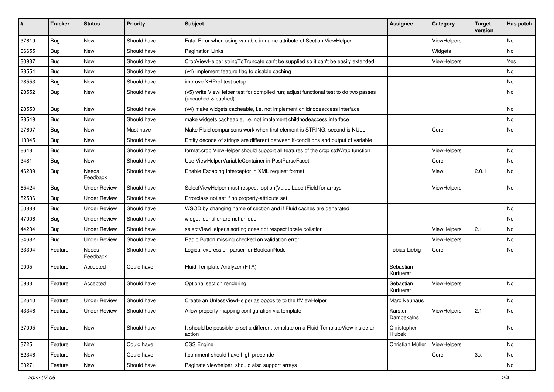| ∦     | <b>Tracker</b> | <b>Status</b>            | <b>Priority</b> | <b>Subject</b>                                                                                              | <b>Assignee</b>        | Category           | <b>Target</b><br>version | Has patch |
|-------|----------------|--------------------------|-----------------|-------------------------------------------------------------------------------------------------------------|------------------------|--------------------|--------------------------|-----------|
| 37619 | Bug            | New                      | Should have     | Fatal Error when using variable in name attribute of Section ViewHelper                                     |                        | ViewHelpers        |                          | No        |
| 36655 | Bug            | New                      | Should have     | Pagination Links                                                                                            |                        | Widgets            |                          | No        |
| 30937 | Bug            | New                      | Should have     | CropViewHelper stringToTruncate can't be supplied so it can't be easily extended                            |                        | ViewHelpers        |                          | Yes       |
| 28554 | Bug            | New                      | Should have     | (v4) implement feature flag to disable caching                                                              |                        |                    |                          | No        |
| 28553 | Bug            | New                      | Should have     | improve XHProf test setup                                                                                   |                        |                    |                          | No        |
| 28552 | Bug            | New                      | Should have     | (v5) write ViewHelper test for compiled run; adjust functional test to do two passes<br>(uncached & cached) |                        |                    |                          | No        |
| 28550 | Bug            | New                      | Should have     | (v4) make widgets cacheable, i.e. not implement childnodeaccess interface                                   |                        |                    |                          | No        |
| 28549 | Bug            | New                      | Should have     | make widgets cacheable, i.e. not implement childnodeaccess interface                                        |                        |                    |                          | No        |
| 27607 | Bug            | New                      | Must have       | Make Fluid comparisons work when first element is STRING, second is NULL.                                   |                        | Core               |                          | No        |
| 13045 | Bug            | New                      | Should have     | Entity decode of strings are different between if-conditions and output of variable                         |                        |                    |                          |           |
| 8648  | Bug            | New                      | Should have     | format.crop ViewHelper should support all features of the crop stdWrap function                             |                        | ViewHelpers        |                          | No        |
| 3481  | Bug            | New                      | Should have     | Use ViewHelperVariableContainer in PostParseFacet                                                           |                        | Core               |                          | No        |
| 46289 | Bug            | <b>Needs</b><br>Feedback | Should have     | Enable Escaping Interceptor in XML request format                                                           |                        | View               | 2.0.1                    | No        |
| 65424 | Bug            | <b>Under Review</b>      | Should have     | SelectViewHelper must respect option(Value Label)Field for arrays                                           |                        | ViewHelpers        |                          | No        |
| 52536 | Bug            | <b>Under Review</b>      | Should have     | Errorclass not set if no property-attribute set                                                             |                        |                    |                          |           |
| 50888 | Bug            | <b>Under Review</b>      | Should have     | WSOD by changing name of section and if Fluid caches are generated                                          |                        |                    |                          | No        |
| 47006 | Bug            | <b>Under Review</b>      | Should have     | widget identifier are not unique                                                                            |                        |                    |                          | No        |
| 44234 | Bug            | <b>Under Review</b>      | Should have     | selectViewHelper's sorting does not respect locale collation                                                |                        | ViewHelpers        | 2.1                      | No        |
| 34682 | Bug            | <b>Under Review</b>      | Should have     | Radio Button missing checked on validation error                                                            |                        | ViewHelpers        |                          | No        |
| 33394 | Feature        | <b>Needs</b><br>Feedback | Should have     | Logical expression parser for BooleanNode                                                                   | <b>Tobias Liebig</b>   | Core               |                          | No        |
| 9005  | Feature        | Accepted                 | Could have      | Fluid Template Analyzer (FTA)                                                                               | Sebastian<br>Kurfuerst |                    |                          |           |
| 5933  | Feature        | Accepted                 | Should have     | Optional section rendering                                                                                  | Sebastian<br>Kurfuerst | <b>ViewHelpers</b> |                          | No        |
| 52640 | Feature        | <b>Under Review</b>      | Should have     | Create an UnlessViewHelper as opposite to the IfViewHelper                                                  | Marc Neuhaus           |                    |                          | No        |
| 43346 | Feature        | <b>Under Review</b>      | Should have     | Allow property mapping configuration via template                                                           | Karsten<br>Dambekalns  | ViewHelpers        | 2.1                      | No        |
| 37095 | Feature        | New                      | Should have     | It should be possible to set a different template on a Fluid TemplateView inside an<br>action               | Christopher<br>Hlubek  |                    |                          | No        |
| 3725  | Feature        | New                      | Could have      | CSS Engine                                                                                                  | Christian Müller       | ViewHelpers        |                          | No        |
| 62346 | Feature        | New                      | Could have      | f:comment should have high precende                                                                         |                        | Core               | 3.x                      | No        |
| 60271 | Feature        | New                      | Should have     | Paginate viewhelper, should also support arrays                                                             |                        |                    |                          | No        |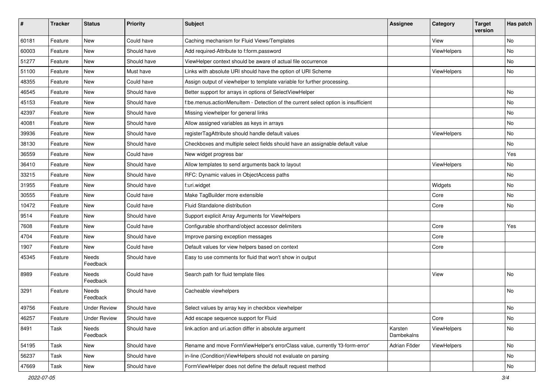| $\pmb{\#}$ | <b>Tracker</b> | <b>Status</b>            | <b>Priority</b> | Subject                                                                            | <b>Assignee</b>       | Category    | <b>Target</b><br>version | Has patch |
|------------|----------------|--------------------------|-----------------|------------------------------------------------------------------------------------|-----------------------|-------------|--------------------------|-----------|
| 60181      | Feature        | <b>New</b>               | Could have      | Caching mechanism for Fluid Views/Templates                                        |                       | View        |                          | <b>No</b> |
| 60003      | Feature        | New                      | Should have     | Add required-Attribute to f:form.password                                          |                       | ViewHelpers |                          | No        |
| 51277      | Feature        | New                      | Should have     | ViewHelper context should be aware of actual file occurrence                       |                       |             |                          | No        |
| 51100      | Feature        | New                      | Must have       | Links with absolute URI should have the option of URI Scheme                       |                       | ViewHelpers |                          | No        |
| 48355      | Feature        | New                      | Could have      | Assign output of viewhelper to template variable for further processing.           |                       |             |                          |           |
| 46545      | Feature        | <b>New</b>               | Should have     | Better support for arrays in options of SelectViewHelper                           |                       |             |                          | No        |
| 45153      | Feature        | New                      | Should have     | f:be.menus.actionMenuItem - Detection of the current select option is insufficient |                       |             |                          | No        |
| 42397      | Feature        | New                      | Should have     | Missing viewhelper for general links                                               |                       |             |                          | No        |
| 40081      | Feature        | <b>New</b>               | Should have     | Allow assigned variables as keys in arrays                                         |                       |             |                          | No        |
| 39936      | Feature        | New                      | Should have     | registerTagAttribute should handle default values                                  |                       | ViewHelpers |                          | No        |
| 38130      | Feature        | New                      | Should have     | Checkboxes and multiple select fields should have an assignable default value      |                       |             |                          | No        |
| 36559      | Feature        | New                      | Could have      | New widget progress bar                                                            |                       |             |                          | Yes       |
| 36410      | Feature        | <b>New</b>               | Should have     | Allow templates to send arguments back to layout                                   |                       | ViewHelpers |                          | No        |
| 33215      | Feature        | <b>New</b>               | Should have     | RFC: Dynamic values in ObjectAccess paths                                          |                       |             |                          | No        |
| 31955      | Feature        | New                      | Should have     | f:uri.widget                                                                       |                       | Widgets     |                          | No        |
| 30555      | Feature        | New                      | Could have      | Make TagBuilder more extensible                                                    |                       | Core        |                          | No        |
| 10472      | Feature        | New                      | Could have      | Fluid Standalone distribution                                                      |                       | Core        |                          | No        |
| 9514       | Feature        | New                      | Should have     | Support explicit Array Arguments for ViewHelpers                                   |                       |             |                          |           |
| 7608       | Feature        | <b>New</b>               | Could have      | Configurable shorthand/object accessor delimiters                                  |                       | Core        |                          | Yes       |
| 4704       | Feature        | New                      | Should have     | Improve parsing exception messages                                                 |                       | Core        |                          |           |
| 1907       | Feature        | New                      | Could have      | Default values for view helpers based on context                                   |                       | Core        |                          |           |
| 45345      | Feature        | <b>Needs</b><br>Feedback | Should have     | Easy to use comments for fluid that won't show in output                           |                       |             |                          |           |
| 8989       | Feature        | <b>Needs</b><br>Feedback | Could have      | Search path for fluid template files                                               |                       | View        |                          | <b>No</b> |
| 3291       | Feature        | Needs<br>Feedback        | Should have     | Cacheable viewhelpers                                                              |                       |             |                          | <b>No</b> |
| 49756      | Feature        | <b>Under Review</b>      | Should have     | Select values by array key in checkbox viewhelper                                  |                       |             |                          | No        |
| 46257      | Feature        | <b>Under Review</b>      | Should have     | Add escape sequence support for Fluid                                              |                       | Core        |                          | No        |
| 8491       | Task           | Needs<br>Feedback        | Should have     | link.action and uri.action differ in absolute argument                             | Karsten<br>Dambekalns | ViewHelpers |                          | No        |
| 54195      | Task           | New                      | Should have     | Rename and move FormViewHelper's errorClass value, currently 'f3-form-error'       | Adrian Föder          | ViewHelpers |                          | No        |
| 56237      | Task           | New                      | Should have     | in-line (Condition) ViewHelpers should not evaluate on parsing                     |                       |             |                          | No        |
| 47669      | Task           | New                      | Should have     | FormViewHelper does not define the default request method                          |                       |             |                          | No        |